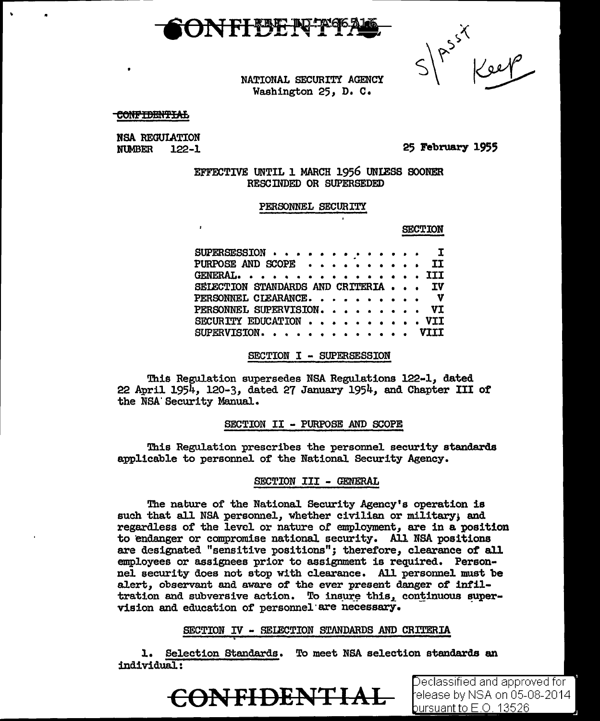

 $\left| \begin{matrix} 2s^2 \\ 2s & 1 \end{matrix} \right|$ 

NATIONAL SECURITY AGENCY Washington 25, D. c.

CONFIDENTIAL

**NSA REGULATION<br>NUMBER** 122-1 **NUMBER** 

25 February 1955

EFFECTIVE UNTIL 1 MARCH 1956 UNIESS SOONER RESCINDED OR SUPERSEDED

PERSONNEL SECURITY

SECTION

| $SUBERSESSION \cdot \cdot \cdot \cdot \cdot \cdot \cdot \cdot \cdot \cdot \cdot T$ |  |  |
|------------------------------------------------------------------------------------|--|--|
| PURPOSE AND SCOPE II                                                               |  |  |
| GENERAL. III                                                                       |  |  |
| SELECTION STANDARDS AND CRITERIA IV                                                |  |  |
| PERSONNEL CIEARANCE. V                                                             |  |  |
| PERSONNEL SUPERVISION. VI                                                          |  |  |
| SECURITY EDUCATION VII                                                             |  |  |
| $SUPERVISION.$ $VIII$                                                              |  |  |

SECTION I - SUPERSESSION

This Regulation supersedes NSA Regulations 122-1, dated 22 April 1954, 120-3, dated 27 January 1954, and Chapter III of the NSA'Security Manual.

SECTION II - PURPOSE AND SCOPE

This Regulation prescribes the personnel security standards applicable to personnel of the National Security Agency.

#### SECTION III - GENERAL

The nature of the National Security Agency's operation is such that all NSA personnel, whether civilian or military, and regardless of the level or nature or employment, are in a position to endanger or compromise national security. All NSA positions are designated "sensitive positions"; therefore, clearance *ot* all employees or assignees prior to assignment is required. Personnel security does not stop with clearance. Al1 personnel must be alert, observant and aware *ot* the ever present danger of 1nt11 tration and subversive action. To insure this, continuous supervision and education of personne1·are necessary.

SECTION *'IV* - SEIECTION STANDARDS AND CRITERIA

l. Selection Standards. To meet NSA selection standards an individual.:



Declassified and approved for l elease by NSA on 05-08-2014 bursuant to E.O. 13526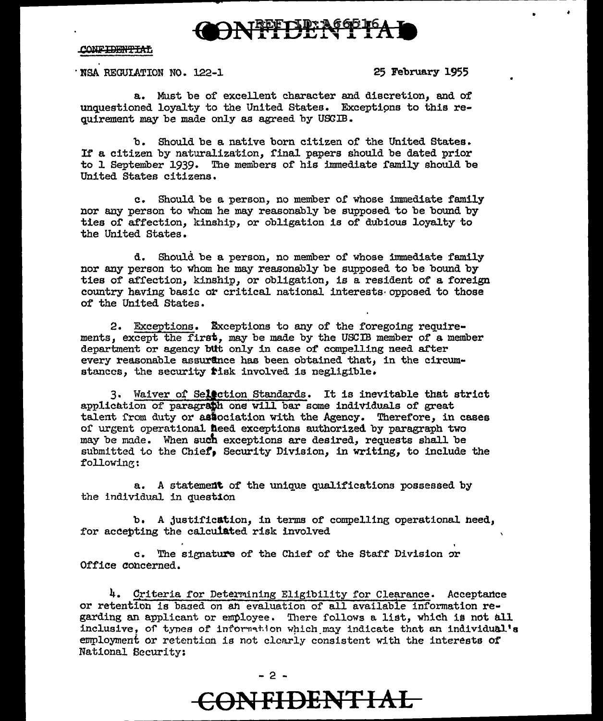

· NSA REGUIATION NO. 122-1 25 February 1955

•

a. Must be of excellent character and discretion, and of unquestioned loyalty to the United States. Exceptions to this requirement may be made only as agreed by USCIB.

b. Should be a native born citizen of the United States. If a citizen by naturalization, final papers should be dated prior to 1 September 1939. The members of his immediate family should be United States citizens.

c. Should be a person, no member 0£ whose immediate family nor any person to whom he may reasonably be supposed to be bound by ties or affection, kinship, or obligation is of dubious loyalty to the United States.

d. Should be a person, no member or whose immediate family nor any person to whom he may reasonably be supposed to be bound by ties of affection, kinship, or obligation, is a resident of a foreign country having basic or critical national interests opposed to those of the United States.

2. Exceptions. Exceptions to any of the foregoing requirements, except the first, may be made by the USCIB member of a member department or agency bUt only in case of compelling need after every reasonable assurance has been obtained that, in the circumstances, the security tisk involved is negligible.

3. Waiver of Selection Standards. It is inevitable that strict application of paragraph one will bar some individuals of great talent from duty or association with the Agency. Therefore, in cases of urgent operational heed exceptions authorized by paragraph tvo may be made. When such exceptions are desired, requests shall be submitted to the Chief, Security Division, in writing, to include the following:

a. A statement of the unique qualifications possessed by the individual in question

b. A justification, in terms of compelling operational heed, for accepting the calcuiated risk involved

c. The signature of the Chief of the Staff Division or Office concerned.

4. Criteria for Determining Eligibility for Clearance. Acceptance or retention is baaed on *ah* evaluation of all available information rew garding an applicant or employee. There follows a list, which is not all inclusive, of tynes of information which may indicate that an individual's employment or retention is not clearly consistent with the interests of National Security:

- 2 -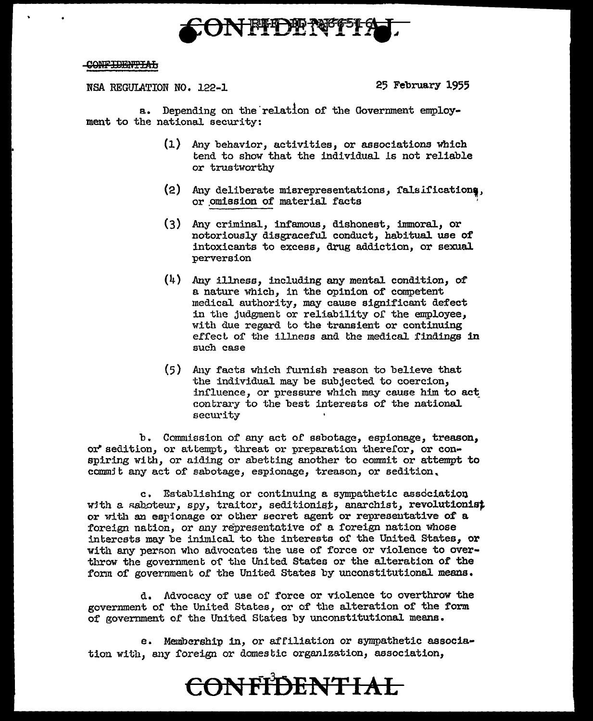

#### <del>CONFIDENTIAL</del>

NSA REGULATION NO. 122-1

25 February 1955

a. Depending on the relation of the Government employment to the national security:

- (1) Any behavior, activities, or associations which tend to show that the individual is not reliable or trustworthy
- (2) Any deliberate misrepresentations, falsifications, or omission of material facts
- (3) Any criminal, infamous, dishonest, immoral, or notoriously disgraceful conduct, habitual use of intoxicants to excess, drug addiction, or sexual perversion
- $(4)$  Any illness, including any mental condition, of a nature which, in the opinion of competent medical authority, may cause significant defect in the judgment or reliability of the employee, with due regard to the transient or continuing effect of the illness and the medical findings in such case
- (5) Any facts which furnish reason to believe that the individual may be subjected to coercion, influence, or pressure which may cause him to act contrary to the best interests of the national security

b. Commission of any act of sabotage, espionage, treason, or sedition, or attempt, threat or preparation therefor, or conspiring with, or aiding or abetting another to commit or attempt to commit any act of sabotage, espionage, treason, or sedition,

c. Establishing or continuing a sympathetic association with a saboteur, spy, traitor, seditionist, anarchist, revolutionist or with an espionage or other secret agent or representative of a foreign nation, or any representative of a foreign nation whose interests may be inimical to the interests of the United States, or with any person who advocates the use of force or violence to overthrow the government of the United States or the alteration of the form of government of the United States by unconstitutional means.

d. Advocacy of use of force or violence to overthrow the government of the United States, or of the alteration of the form of government of the United States by unconstitutional means.

e. Membership in, or affiliation or sympathetic association with, any foreign or domestic organization, association,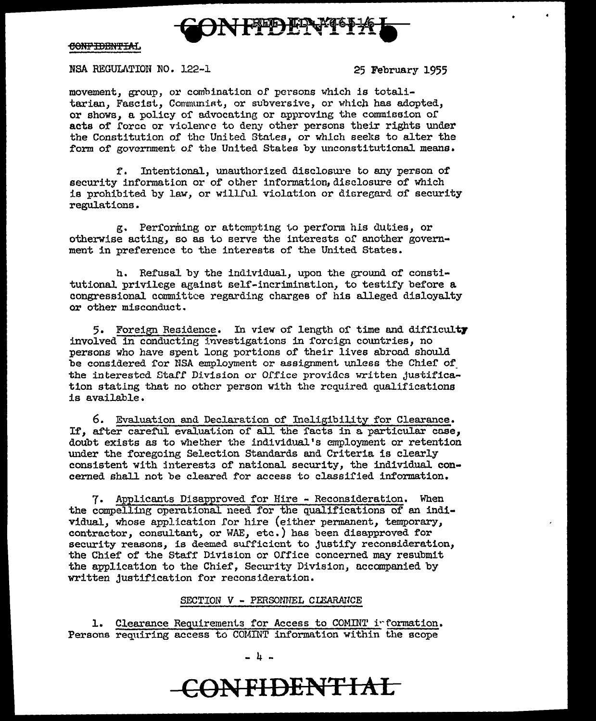

NSA REGULATION NO. 122-1 25 February 1955

movement, group, or combination of persons which is totalitarian, Fascist, Communist, or subversive, or which has adopted, or shows, a policy of advocating or approving the commission of acts of force or violence to deny other persons their rights under the Constitution of the United States, or which seeks to alter the form of government of the United States by unconstitutional means.

f. Intentional, unauthorized disclosure to any person of' security information or of other information, disclosure of which is prohibited by law, or willful violation or disregard of security regulations.

g. Performing or attempting to perform hls duties, or otherwise acting, so as to serve the interests of another government in preference to the interests of the United States.

h. Refusal by the individual, upon the ground of constitutional privilege against self-incrimination, to testify before a congressional committee regarding charges of his alleged disloyalty or other misconduct.

5. Foreign Residence. In view of length of time and difficulty involved in conducting investigations in forcign countries, no persons who have spent long portions of' their lives abroad should be considered for NSA employment or assignment unless the Chief of the interested Staff Division or Office provides written justification statlng that no other person with the required qualifications is available.

6. Evaluation and Declaration of Ineligibility for Clearance. If, after careful evaluation of all the facts in a particular case, doubt exists as to whether the individual's employment or retention under the foregoing Selection Standards and Criteria is clearly consistent with interests of national security, the individual concerned shall not be cleared for access to classified information.

7. Applicants Disapproved for Hire - Reconsideration. When the compelling operational need for the qualifications of an individual. whose application for hire (either permanent, temporary, contractor, consultant, or WAE, etc.) has been disapproved for security reasons, is deemed sufficient to justify reconsideration, the Chief of the Staff Division or Office concerned may resubmit the application to the Chief, Security Division, accompanied by written justification for reconsideration.

#### SECTION *V* - PERSONNEL CLEARAUCE

1. Clearance Requirements for Access to COMINT information. Persons requiring access to COMWT information within the scope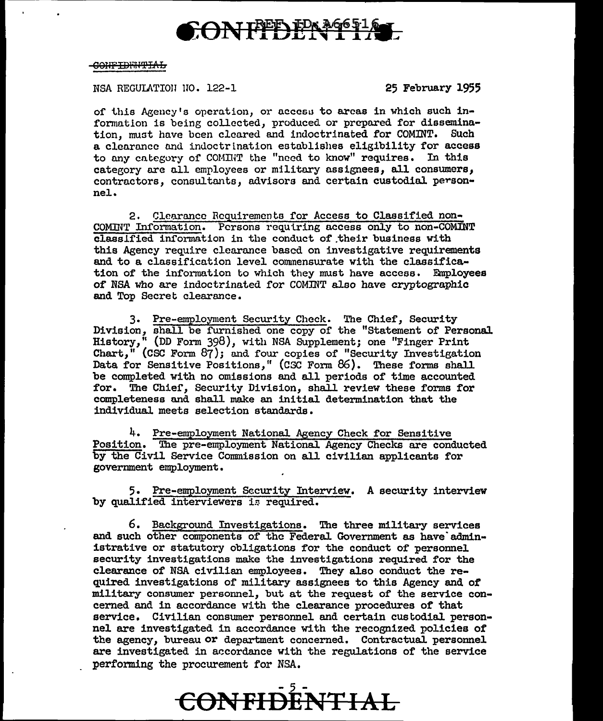## CONFFEDENTIL

#### CONFIDENTIAL

NSA REGULATION NO. 122-1

25 February 1955

of this Agency's operation, or access to areas in which such information is being collected, produced or prepared for dissemination, must have been cleared and indoctrinated for COMINT. Such a clearance and indoctrination establishes eligibility for access to any category of COMINT the "need to know" requires. In this category are all employees or military assignees, all consumers, contractors, consultants, advisors and certain custodial person $ne1.$ 

2. Clearance Requirements for Access to Classified non-COMINT Information. Persons requiring access only to non-COMINT classified information in the conduct of their business with this Agency require clearance based on investigative requirements and to a classification level commensurate with the classification of the information to which they must have access. Employees of NSA who are indoctrinated for COMINT also have cryptographic and Top Secret clearance.

3. Pre-employment Security Check. The Chief, Security Division, shall be furnished one copy of the "Statement of Personal.<br>History," (DD Form 398), with NSA Supplement; one "Finger Print History," (DD Form 398), with NSA Supplement; one "Finger Print Chart," (CSC Form 87); and four copies of "Security Investigation Data for Sensitive Positions," (CSC Form 86). These forms shall be completed with no omissions and all periods of time accounted for. The Chief, Security Division, shall review these forms for completeness and shall make an initial determination that the individual meets selection standards.

4. Pre-employment National Agency Check for Sensitive Position. The pre-employment National Agency Checks are conducted by the Civil Service Commission on all civilian applicants for government employment.

5. Pre-employment Security Interview. A security interview by qualified interviewers is required.

6. Background Investigations. The three military services and such other components of the Federal Government as have administrative or statutory obligations for the conduct of personnel security investigations make the investigations required for the clearance of NSA civilian employees. They also conduct the required investigations of military assignees to this Agency and of military consumer personnel, but at the request of the service concerned and in accordance with the clearance procedures of that service. Civilian consumer personnel and certain custodial personnel are investigated in accordance with the recognized policies of the agency, bureau or department concerned. Contractual personnel are investigated in accordance with the regulations of the service performing the procurement for NSA.

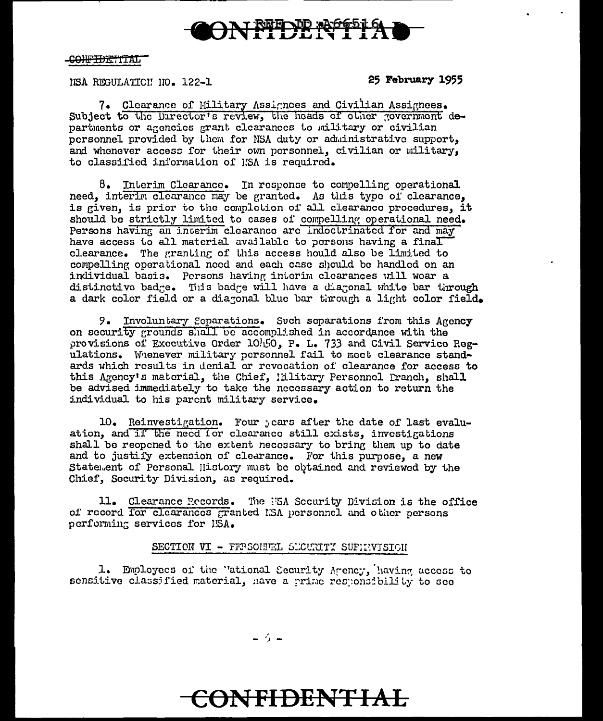

#### C<del>ONFIDENTIAL</del>

#### NSA REGULATICI NO. 122-1

25 February 1955

7. Clearance of Military Assignees and Civilian Assignees. Subject to the Director's review, the heads of other government departments or agencies grant clearances to military or civilian personnel provided by them for NSA duty or administrative support, and whenever access for their own personnel, civilian or military. to classified information of KSA is required.

 $\delta$ . Interim Clearance. In response to compelling operational need, interim clearance may be granted. As this type of clearance. is given, is prior to the completion of all clearance procedures, it should be strictly limited to cases of compelling operational need. Persons having an interim clearance are indoctrinated for and may have access to all material available to persons having a final clearance. The granting of this access hould also be limited to compelling operational need and each case should be handled on an individual basis. Persons having interim clearances will wear a distinctive badge. This badge will have a diagonal white bar through a dark color field or a diagonal blue bar through a light color field.

9. Involuntary Separations. Such separations from this Agency on security grounds shall be accomplished in accordance with the provisions of Executive Order 10/150, P. L. 733 and Civil Service Regulations. Whenever military personnel fail to meet clearance standards which results in denial or revocation of clearance for access to this Agency's material, the Chief, Hilitary Personnel Pranch, shall be advised immediately to take the necessary action to return the individual to his parent military service.

10. Reinvestigation. Four years after the date of last evaluation, and if the need for clearance still exists, investigations shall be reopened to the extent necessary to bring them up to date and to justify extension of clearance. For this purpose, a new Statement of Personal History must be obtained and reviewed by the Chief, Security Division, as required.

11. Clearance Records. The F5A Security Division is the office of record for clearances granted ISA personnel and other persons performing services for ISA.

#### SECTION VI - FFRSONNEL SUCURITY SUPHRYISION

1. Employees of the "ational Security Areney, having access to sensitive classified material, have a prime responsibility to see

 $-5-$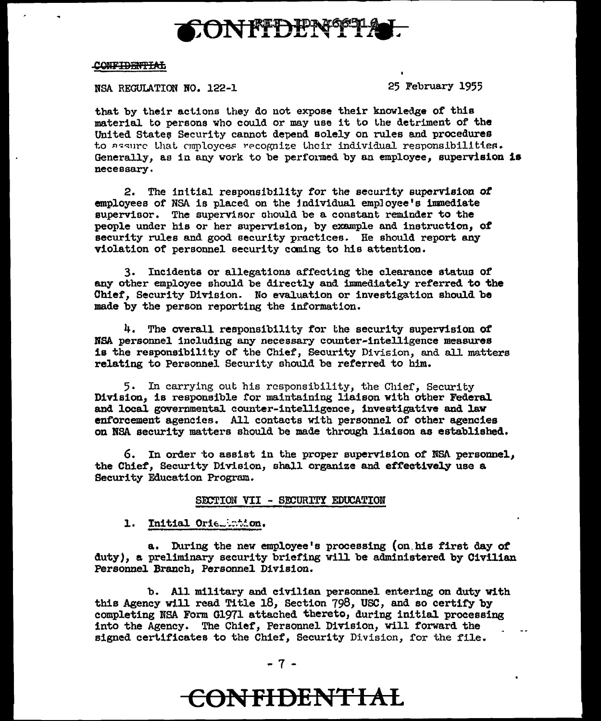

NSA REGULATION NO. 122-1

25 February 1955

that by their actions they do not expose their knowledge of this material to persons who could or may use it to the detriment of the United States Security cannot depend solely on rules and procedures to assure that employees recognize their individual responsibilities. Generally, as in any work to be performed by an employee, supervision is necessarv.

2. The initial responsibility for the security supervision of employees of NSA is placed on the individual employee's immediate supervisor. The supervisor should be a constant reminder to the people under his or her supervision, by example and instruction, of security rules and good security practices. He should report any violation of personnel security coming to his attention.

3. Incidents or allegations affecting the clearance status of any other employee should be directly and immediately referred to the Chief, Security Division. No evaluation or investigation should be made by the person reporting the information.

4. The overall responsibility for the security supervision of NSA personnel including any necessary counter-intelligence measures is the responsibility of the Chief, Security Division, and all matters relating to Personnel Security should be referred to him.

5. In carrying out his responsibility, the Chief, Security Division, is responsible for maintaining liaison with other Federal and local governmental counter-intelligence, investigative and law enforcement agencies. All contacts with personnel of other agencies on NSA security matters should be made through liaison as established.

6. In order to assist in the proper supervision of NSA personnel, the Chief, Security Division, shall organize and effectively use a Security Education Program.

#### SECTION VII - SECURITY EDUCATION

1. Initial Orie. 10th.on.

a. During the new employee's processing (on his first day of duty), a preliminary security briefing will be administered by Civilian Personnel Branch, Personnel Division.

b. All military and civilian personnel entering on duty with this Agency will read Title 18, Section 798, USC, and so certify by completing NSA Form G1971 attached thereto, during initial processing into the Agency. The Chief, Personnel Division, will forward the signed certificates to the Chief, Security Division, for the file.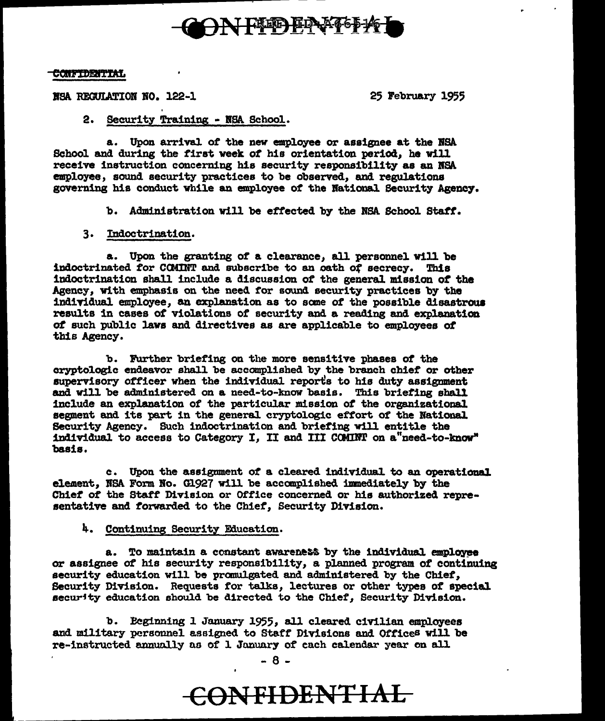

NSA REGULATION NO. 122-1

25 February 1955

#### 2. Security Training - NSA School.

a. Upon arrival of the new employee or assignee at the NSA School and during the first week of his orientation period, he will receive instruction concerning his security responsibility as an NSA employee, sound security practices to be observed, and regulations governing his conduct while an employee of the National Security Agency.

b. Administration will be effected by the NSA School Staff.

#### 3. Indoctrination.

a. Upon the granting of a clearance, all personnel will be indoctrinated for COMINT and subscribe to an oath of secrecy. This indoctrination shall include a discussion of the general mission of the Agency. with emphasis on the need for sound security practices by the individual employee, an explanation as to some of the possible disastrous results in cases of violations of security and a reading and explanation of such public laws and directives as are applicable to employees of this Agency.

b. Further briefing on the more sensitive phases of the cryptologic endeavor shall be accomplished by the branch chief or other supervisory officer when the individual reports to his duty assignment and will be administered on a need-to-know basis. This briefing shall include an explanation of the particular mission of the organizational segment and its part in the general cryptologic effort of the National Security Agency. Such indoctrination and briefing will entitle the individual to access to Category I, II and III COMINT on a "need-to-know" basis.

c. Upon the assignment of a cleared individual to an operational element. NSA Form No. G1927 will be accomplished immediately by the Chief of the Staff Division or Office concerned or his authorized representative and forwarded to the Chief, Security Division.

#### 4. Continuing Security Education.

a. To maintain a constant awareness by the individual employee or assignee of his security responsibility, a planned program of continuing security education will be promulgated and administered by the Chief. Security Division. Requests for talks, lectures or other types of special security education should be directed to the Chief, Security Division.

b. Beginning 1 January 1955, all cleared civilian employees and military personnel assigned to Staff Divisions and Offices will be re-instructed annually as of 1 January of cach calendar year on all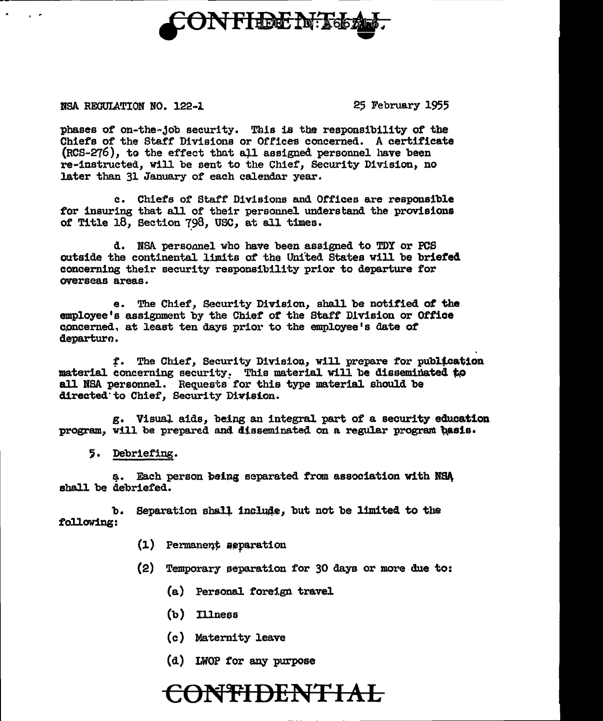

NSA RECULATION NO. 122-1

 $\mathbf{r}$ 

25 February 1955

phases of on-the-job security. This is the responsibility of the Chiefs of the Staff Divisions or Offices concerned. A certificate (RCS-276), to the effect that all assigned personnel have been re-instructed, will be sent to the Chief, Security Division, no later than 31 January of each calendar year.

c. Chiefs of Staff Divisions and Offices are responsible for insuring that all of their personnel understand the provisions of Title 18, Section 798, USC, at all times.

d. NSA personnel who have been assigned to TDY or PCS outside the continental limits of the United States will be briefed concerning their security responsibility prior to departure for overseas areas.

e. The Chief, Security Division, shall be notified of the employee's assignment by the Chief of the Staff Division or Office concerned, at least ten days prior to the employee's date of departuro.

f. The Chief, Security Division, will prepare for publication material concerning security. This material will be disseminated to all NSA personnel. Requests for this type material should be directed to Chief, Security Division.

g. Visual aids, being an integral part of a security education program, will be prepared and disseminated on a regular program basis.

5. Debriefing.

a. Each person being separated from association with NSA shall be debriefed.

 $\mathbf{b}$ . Separation shall include, but not be limited to the following:

- (1) Permanent aeparation
- (2) Temporary separation for 30 days or more due to:
	- (a) Personal foreign travel
	- $(b)$  Illness
	- (c) Maternity leave
	- (d) LWOP for any purpose

### <del>ONTIDENTIAL</del>